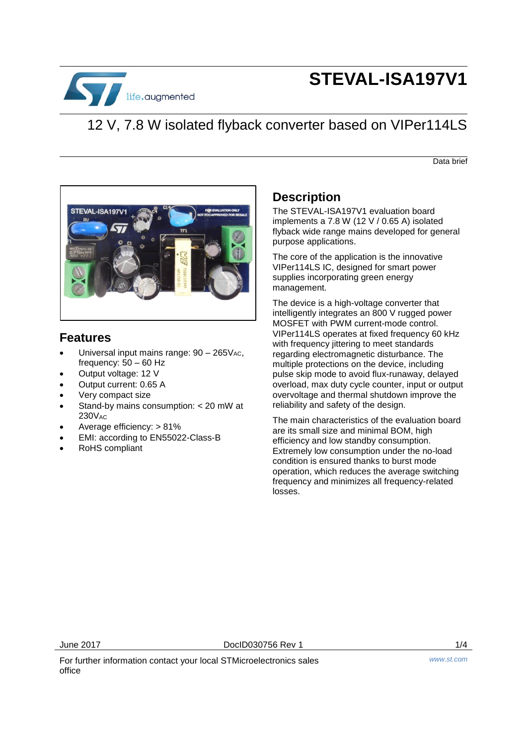

# **STEVAL-ISA197V1**

## 12 V, 7.8 W isolated flyback converter based on VIPer114LS

Data brief



#### **Features**

- Universal input mains range:  $90 265V_{AC}$ , frequency: 50 – 60 Hz
- Output voltage: 12 V
- Output current: 0.65 A
- Very compact size
- Stand-by mains consumption: < 20 mW at  $230V$ <sub>AC</sub>
- Average efficiency: > 81%
- EMI: according to EN55022-Class-B
- RoHS compliant

### **Description**

The STEVAL-ISA197V1 evaluation board implements a 7.8 W (12 V / 0.65 A) isolated flyback wide range mains developed for general purpose applications.

The core of the application is the innovative VIPer114LS IC, designed for smart power supplies incorporating green energy management.

The device is a high-voltage converter that intelligently integrates an 800 V rugged power MOSFET with PWM current-mode control. VIPer114LS operates at fixed frequency 60 kHz with frequency jittering to meet standards regarding electromagnetic disturbance. The multiple protections on the device, including pulse skip mode to avoid flux-runaway, delayed overload, max duty cycle counter, input or output overvoltage and thermal shutdown improve the reliability and safety of the design.

The main characteristics of the evaluation board are its small size and minimal BOM, high efficiency and low standby consumption. Extremely low consumption under the no-load condition is ensured thanks to burst mode operation, which reduces the average switching frequency and minimizes all frequency-related losses.

June 2017 DocID030756 Rev 1 1/4

For further information contact your local STMicroelectronics sales office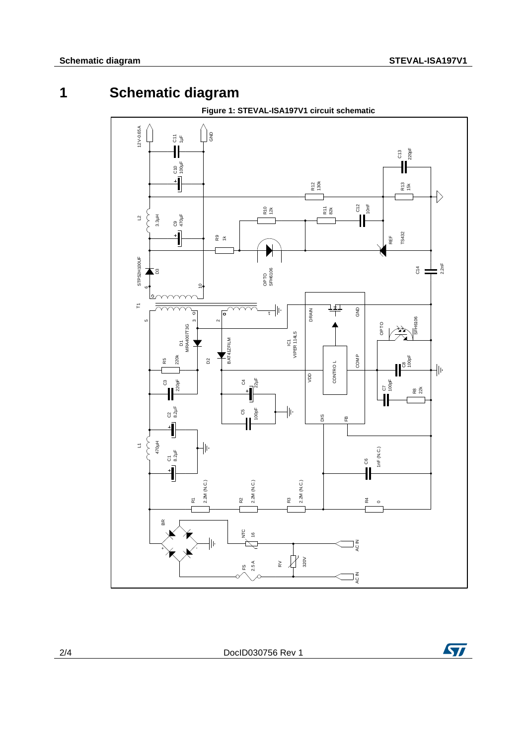### **1 Schematic diagram**



2/4 DocID030756 Rev 1

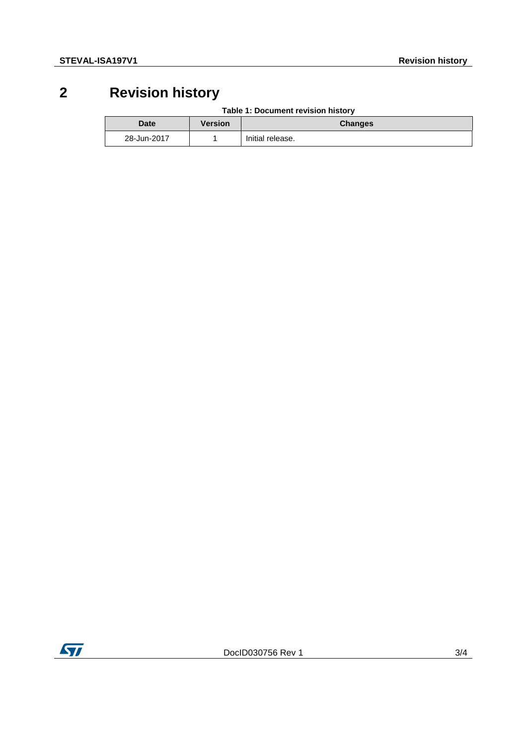## **2 Revision history**

**Table 1: Document revision history**

| <b>Date</b> | Version | <b>Changes</b>   |
|-------------|---------|------------------|
| 28-Jun-2017 |         | Initial release. |